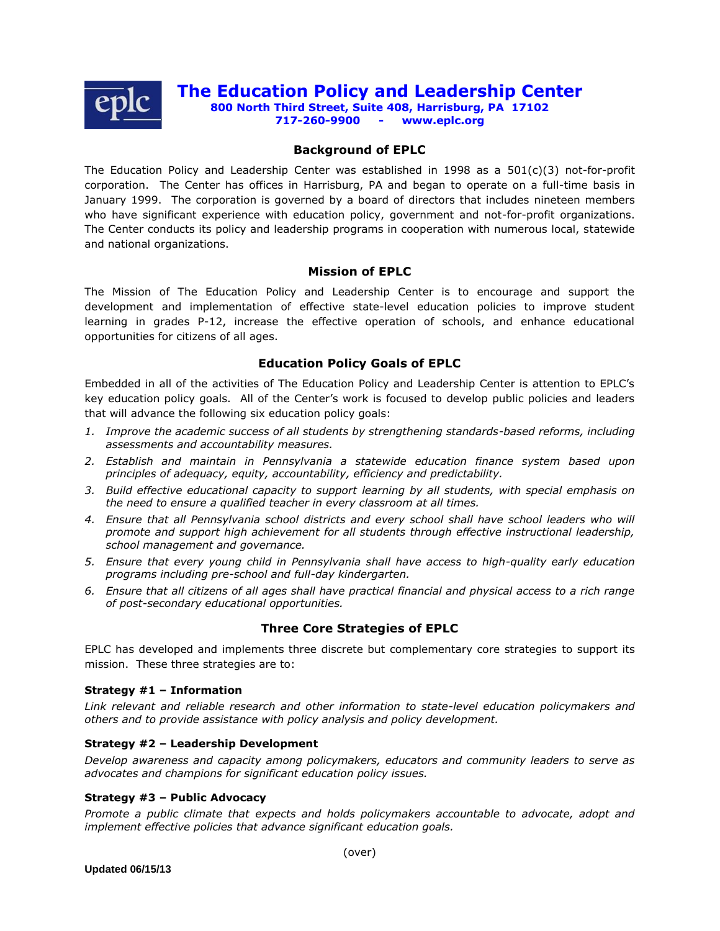

# **The Education Policy and Leadership Center**

**800 North Third Street, Suite 408, Harrisburg, PA 17102 717-260-9900 - www.eplc.org**

### **Background of EPLC**

The Education Policy and Leadership Center was established in 1998 as a  $501(c)(3)$  not-for-profit corporation. The Center has offices in Harrisburg, PA and began to operate on a full-time basis in January 1999. The corporation is governed by a board of directors that includes nineteen members who have significant experience with education policy, government and not-for-profit organizations. The Center conducts its policy and leadership programs in cooperation with numerous local, statewide and national organizations.

### **Mission of EPLC**

The Mission of The Education Policy and Leadership Center is to encourage and support the development and implementation of effective state-level education policies to improve student learning in grades P-12, increase the effective operation of schools, and enhance educational opportunities for citizens of all ages.

### **Education Policy Goals of EPLC**

Embedded in all of the activities of The Education Policy and Leadership Center is attention to EPLC's key education policy goals. All of the Center's work is focused to develop public policies and leaders that will advance the following six education policy goals:

- *1. Improve the academic success of all students by strengthening standards-based reforms, including assessments and accountability measures.*
- *2. Establish and maintain in Pennsylvania a statewide education finance system based upon principles of adequacy, equity, accountability, efficiency and predictability.*
- *3. Build effective educational capacity to support learning by all students, with special emphasis on the need to ensure a qualified teacher in every classroom at all times.*
- *4. Ensure that all Pennsylvania school districts and every school shall have school leaders who will promote and support high achievement for all students through effective instructional leadership, school management and governance.*
- *5. Ensure that every young child in Pennsylvania shall have access to high-quality early education programs including pre-school and full-day kindergarten.*
- *6. Ensure that all citizens of all ages shall have practical financial and physical access to a rich range of post-secondary educational opportunities.*

### **Three Core Strategies of EPLC**

EPLC has developed and implements three discrete but complementary core strategies to support its mission. These three strategies are to:

#### **Strategy #1 – Information**

*Link relevant and reliable research and other information to state-level education policymakers and others and to provide assistance with policy analysis and policy development.*

#### **Strategy #2 – Leadership Development**

*Develop awareness and capacity among policymakers, educators and community leaders to serve as advocates and champions for significant education policy issues.*

#### **Strategy #3 – Public Advocacy**

*Promote a public climate that expects and holds policymakers accountable to advocate, adopt and implement effective policies that advance significant education goals.*